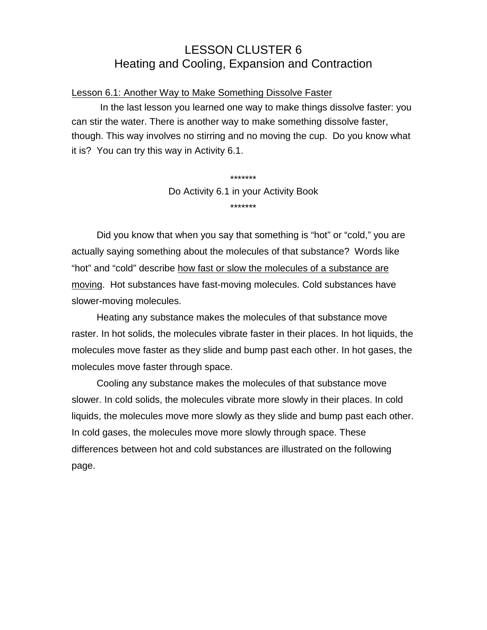# LESSON CLUSTER 6 Heating and Cooling, Expansion and Contraction

## Lesson 6.1: Another Way to Make Something Dissolve Faster

In the last lesson you learned one way to make things dissolve faster: you can stir the water. There is another way to make something dissolve faster, though. This way involves no stirring and no moving the cup. Do you know what it is? You can try this way in Activity 6.1.

> \*\*\*\*\*\*\* Do Activity 6.1 in your Activity Book \*\*\*\*\*\*\*

Did you know that when you say that something is "hot" or "cold," you are actually saying something about the molecules of that substance? Words like "hot" and "cold" describe how fast or slow the molecules of a substance are moving. Hot substances have fast-moving molecules. Cold substances have slower-moving molecules.

Heating any substance makes the molecules of that substance move raster. In hot solids, the molecules vibrate faster in their places. In hot liquids, the molecules move faster as they slide and bump past each other. In hot gases, the molecules move faster through space.

Cooling any substance makes the molecules of that substance move slower. In cold solids, the molecules vibrate more slowly in their places. In cold liquids, the molecules move more slowly as they slide and bump past each other. In cold gases, the molecules move more slowly through space. These differences between hot and cold substances are illustrated on the following page.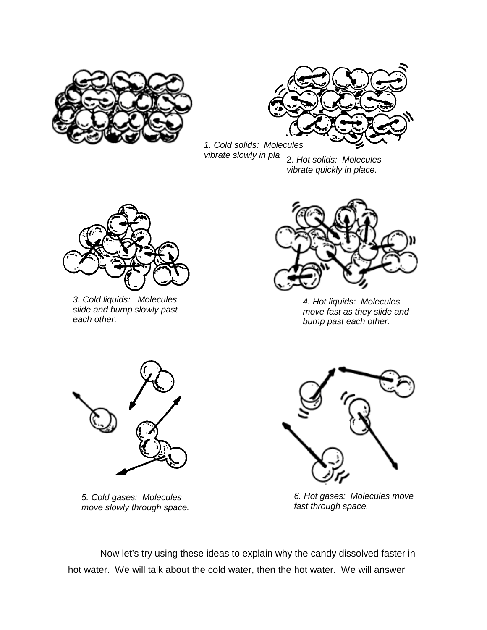



*1. Cold solids: Molecules vibrate slowly in place.*2. *Hot solids: Molecules vibrate quickly in place.*



*3. Cold liquids: Molecules slide and bump slowly past each other.*



*4. Hot liquids: Molecules move fast as they slide and bump past each other.*



*5. Cold gases: Molecules move slowly through space.*



*6. Hot gases: Molecules move fast through space.*

Now let's try using these ideas to explain why the candy dissolved faster in hot water. We will talk about the cold water, then the hot water. We will answer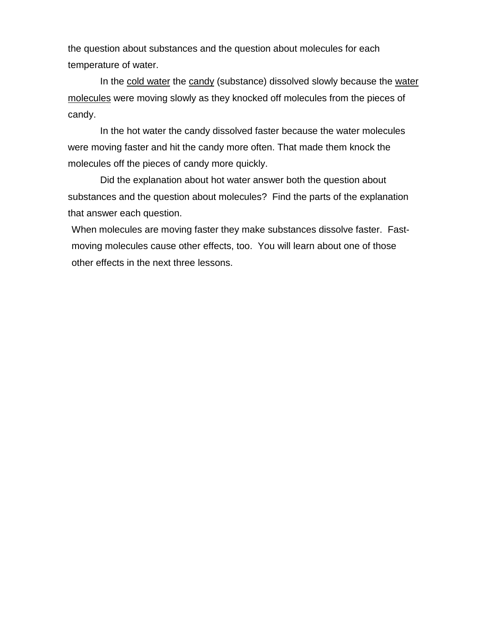the question about substances and the question about molecules for each temperature of water.

In the cold water the candy (substance) dissolved slowly because the water molecules were moving slowly as they knocked off molecules from the pieces of candy.

In the hot water the candy dissolved faster because the water molecules were moving faster and hit the candy more often. That made them knock the molecules off the pieces of candy more quickly.

Did the explanation about hot water answer both the question about substances and the question about molecules? Find the parts of the explanation that answer each question.

When molecules are moving faster they make substances dissolve faster. Fastmoving molecules cause other effects, too. You will learn about one of those other effects in the next three lessons.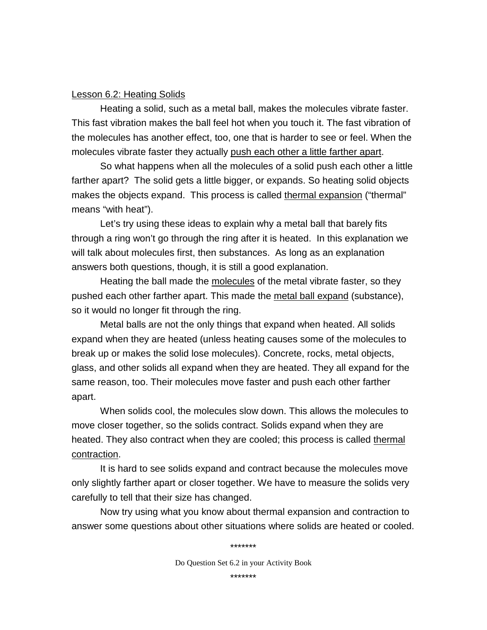#### Lesson 6.2: Heating Solids

Heating a solid, such as a metal ball, makes the molecules vibrate faster. This fast vibration makes the ball feel hot when you touch it. The fast vibration of the molecules has another effect, too, one that is harder to see or feel. When the molecules vibrate faster they actually push each other a little farther apart.

So what happens when all the molecules of a solid push each other a little farther apart? The solid gets a little bigger, or expands. So heating solid objects makes the objects expand. This process is called thermal expansion ("thermal" means "with heat").

Let's try using these ideas to explain why a metal ball that barely fits through a ring won't go through the ring after it is heated. In this explanation we will talk about molecules first, then substances. As long as an explanation answers both questions, though, it is still a good explanation.

Heating the ball made the molecules of the metal vibrate faster, so they pushed each other farther apart. This made the metal ball expand (substance), so it would no longer fit through the ring.

Metal balls are not the only things that expand when heated. All solids expand when they are heated (unless heating causes some of the molecules to break up or makes the solid lose molecules). Concrete, rocks, metal objects, glass, and other solids all expand when they are heated. They all expand for the same reason, too. Their molecules move faster and push each other farther apart.

When solids cool, the molecules slow down. This allows the molecules to move closer together, so the solids contract. Solids expand when they are heated. They also contract when they are cooled; this process is called thermal contraction.

It is hard to see solids expand and contract because the molecules move only slightly farther apart or closer together. We have to measure the solids very carefully to tell that their size has changed.

Now try using what you know about thermal expansion and contraction to answer some questions about other situations where solids are heated or cooled.

Do Question Set 6.2 in your Activity Book

\*\*\*\*\*\*\*

\*\*\*\*\*\*\*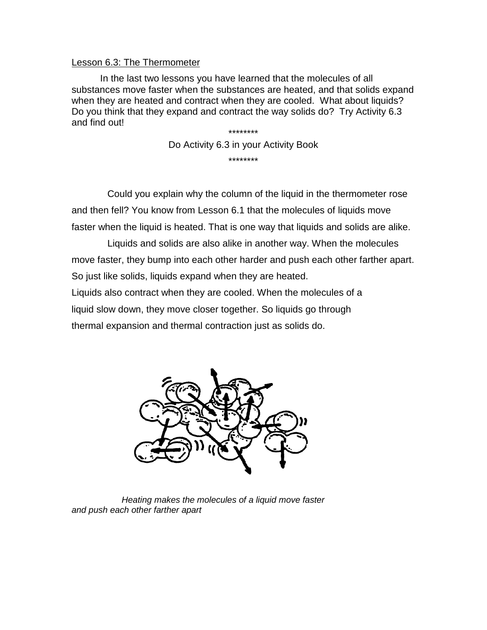### Lesson 6.3: The Thermometer

In the last two lessons you have learned that the molecules of all substances move faster when the substances are heated, and that solids expand when they are heated and contract when they are cooled. What about liquids? Do you think that they expand and contract the way solids do? Try Activity 6.3 and find out! \*\*\*\*\*\*\*\*

Do Activity 6.3 in your Activity Book \*\*\*\*\*\*\*\*

Could you explain why the column of the liquid in the thermometer rose and then fell? You know from Lesson 6.1 that the molecules of liquids move faster when the liquid is heated. That is one way that liquids and solids are alike.

Liquids and solids are also alike in another way. When the molecules move faster, they bump into each other harder and push each other farther apart. So just like solids, liquids expand when they are heated.

Liquids also contract when they are cooled. When the molecules of a liquid slow down, they move closer together. So liquids go through

thermal expansion and thermal contraction just as solids do.



*Heating makes the molecules of a liquid move faster and push each other farther apart*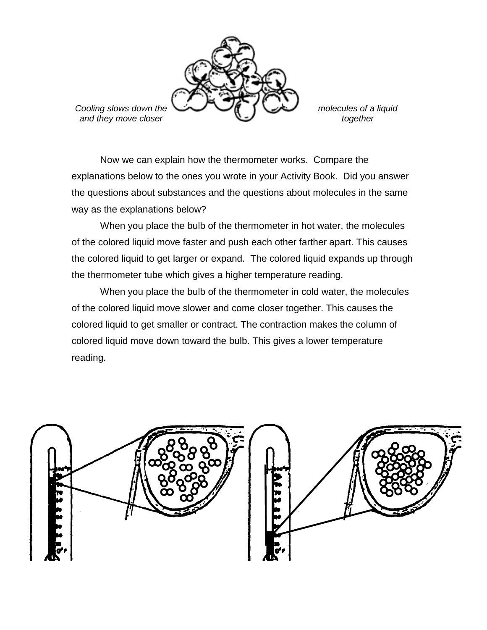

Now we can explain how the thermometer works. Compare the explanations below to the ones you wrote in your Activity Book. Did you answer the questions about substances and the questions about molecules in the same way as the explanations below?

When you place the bulb of the thermometer in hot water, the molecules of the colored liquid move faster and push each other farther apart. This causes the colored liquid to get larger or expand. The colored liquid expands up through the thermometer tube which gives a higher temperature reading.

When you place the bulb of the thermometer in cold water, the molecules of the colored liquid move slower and come closer together. This causes the colored liquid to get smaller or contract. The contraction makes the column of colored liquid move down toward the bulb. This gives a lower temperature reading.

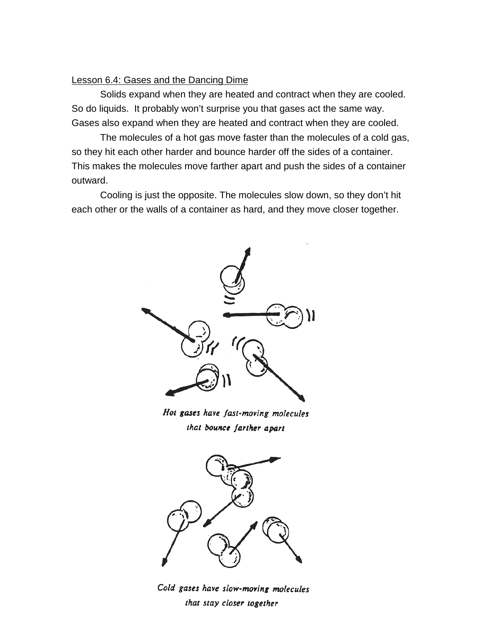#### Lesson 6.4: Gases and the Dancing Dime

Solids expand when they are heated and contract when they are cooled. So do liquids. It probably won't surprise you that gases act the same way. Gases also expand when they are heated and contract when they are cooled.

The molecules of a hot gas move faster than the molecules of a cold gas, so they hit each other harder and bounce harder off the sides of a container. This makes the molecules move farther apart and push the sides of a container outward.

Cooling is just the opposite. The molecules slow down, so they don't hit each other or the walls of a container as hard, and they move closer together.



Hot gases have fast-moving molecules that bounce farther apart



Cold gases have slow-moving molecules that stay closer together